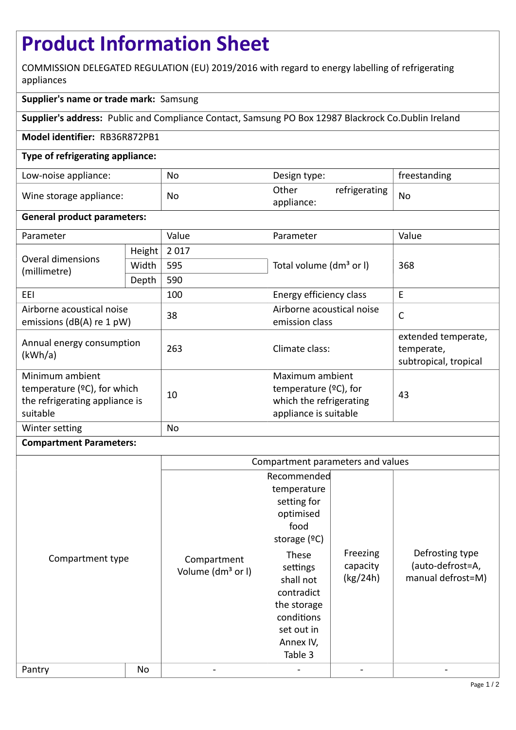# **Product Information Sheet**

COMMISSION DELEGATED REGULATION (EU) 2019/2016 with regard to energy labelling of refrigerating appliances

## **Supplier's name or trade mark:** Samsung

**Supplier's address:** Public and Compliance Contact, Samsung PO Box 12987 Blackrock Co.Dublin Ireland

### **Model identifier:** RB36R872PB1

### **Type of refrigerating appliance:**

| Low-noise appliance:    | No | Design type:                         | freestanding |
|-------------------------|----|--------------------------------------|--------------|
| Wine storage appliance: | No | Other<br>refrigerating<br>appliance: | No           |

### **General product parameters:**

| Parameter                                                                                       |        | Value | Parameter                                                                                       | Value                                                      |
|-------------------------------------------------------------------------------------------------|--------|-------|-------------------------------------------------------------------------------------------------|------------------------------------------------------------|
| Overal dimensions<br>(millimetre)                                                               | Height | 2017  |                                                                                                 | 368                                                        |
|                                                                                                 | Width  | 595   | Total volume (dm <sup>3</sup> or I)                                                             |                                                            |
|                                                                                                 | Depth  | 590   |                                                                                                 |                                                            |
| EEI                                                                                             |        | 100   | Energy efficiency class                                                                         | E                                                          |
| Airborne acoustical noise<br>emissions ( $dB(A)$ re 1 pW)                                       |        | 38    | Airborne acoustical noise<br>emission class                                                     | $\mathsf{C}$                                               |
| Annual energy consumption<br>(kWh/a)                                                            |        | 263   | Climate class:                                                                                  | extended temperate,<br>temperate,<br>subtropical, tropical |
| Minimum ambient<br>temperature $(2C)$ , for which<br>the refrigerating appliance is<br>suitable |        | 10    | Maximum ambient<br>temperature $(2C)$ , for<br>which the refrigerating<br>appliance is suitable | 43                                                         |
| Winter setting                                                                                  |        | No    |                                                                                                 |                                                            |

### **Compartment Parameters:**

|                  |    | Compartment parameters and values            |                                                                                                                                  |                                  |                                                          |
|------------------|----|----------------------------------------------|----------------------------------------------------------------------------------------------------------------------------------|----------------------------------|----------------------------------------------------------|
| Compartment type |    | Compartment<br>Volume (dm <sup>3</sup> or I) | Recommended<br>temperature<br>setting for<br>optimised<br>food<br>storage $(°C)$<br>These<br>settings<br>shall not<br>contradict | Freezing<br>capacity<br>(kg/24h) | Defrosting type<br>(auto-defrost=A,<br>manual defrost=M) |
|                  |    |                                              | the storage<br>conditions<br>set out in<br>Annex IV,<br>Table 3                                                                  |                                  |                                                          |
| Pantry           | No |                                              |                                                                                                                                  |                                  |                                                          |